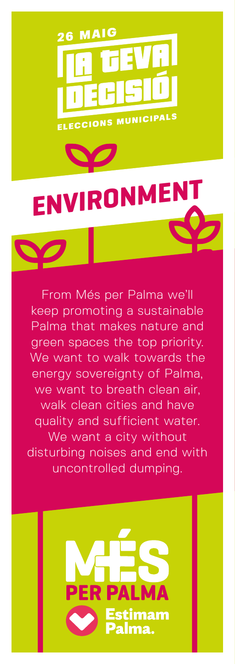

## **ENVIRONMEN**

From Més per Palma we'll keep promoting a sustainable Palma that makes nature and green spaces the top priority. We want to walk towards the energy sovereignty of Palma, we want to breath clean air, walk clean cities and have quality and sufficient water. We want a city without disturbing noises and end with uncontrolled dumping.